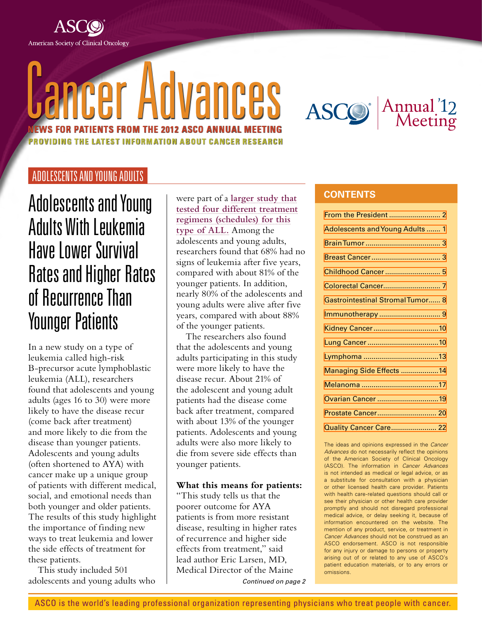

# Cancer Advances **NEWS FOR PATIENTS FROM THE 2012 ASCO ANNUAL MEETING FST INFORMATION ABOUT CANCER RESEARCH**



<span id="page-0-0"></span>ADOLESCENTS AND YOUNG ADULTS

Adolescents and Young Adults With Leukemia Have Lower Survival Rates and Higher Rates of Recurrence Than Younger Patients

In a new study on a type of leukemia called high-risk B-precursor acute lymphoblastic leukemia (ALL), researchers found that adolescents and young adults (ages 16 to 30) were more likely to have the disease recur (come back after treatment) and more likely to die from the disease than younger patients. Adolescents and young adults (often shortened to AYA) with cancer make up a unique group of patients with different medical, social, and emotional needs than both younger and older patients. The results of this study highlight the importance of finding new ways to treat leukemia and lower the side effects of treatment for these patients.

This study included 501 adolescents and young adults who were part of a **[larger study that](http://www.cancer.net/patient/Cancer+News+and+Meetings/ASCO+Annual+Meetings/Research+Summaries/Leukemia/New+Chemotherapy+Regimen+Reduces+Recurrence+of+ALL+for+Children+and+Young+Adults) [tested four different treatment](http://www.cancer.net/patient/Cancer+News+and+Meetings/ASCO+Annual+Meetings/Research+Summaries/Leukemia/New+Chemotherapy+Regimen+Reduces+Recurrence+of+ALL+for+Children+and+Young+Adults) [regimens \(schedules\) for this](http://www.cancer.net/patient/Cancer+News+and+Meetings/ASCO+Annual+Meetings/Research+Summaries/Leukemia/New+Chemotherapy+Regimen+Reduces+Recurrence+of+ALL+for+Children+and+Young+Adults) [type of ALL.](http://www.cancer.net/patient/Cancer+News+and+Meetings/ASCO+Annual+Meetings/Research+Summaries/Leukemia/New+Chemotherapy+Regimen+Reduces+Recurrence+of+ALL+for+Children+and+Young+Adults)** Among the adolescents and young adults, researchers found that 68% had no signs of leukemia after five years, compared with about 81% of the younger patients. In addition, nearly 80% of the adolescents and young adults were alive after five years, compared with about 88% of the younger patients.

The researchers also found that the adolescents and young adults participating in this study were more likely to have the disease recur. About 21% of the adolescent and young adult patients had the disease come back after treatment, compared with about 13% of the younger patients. Adolescents and young adults were also more likely to die from severe side effects than younger patients.

**What this means for patients:**

"This study tells us that the poorer outcome for AYA patients is from more resistant disease, resulting in higher rates of recurrence and higher side effects from treatment," said lead author Eric Larsen, MD, Medical Director of the Maine *Continued on page 2*

#### **CONTENTS**

| Adolescents and Young Adults  1         |
|-----------------------------------------|
|                                         |
|                                         |
| Childhood Cancer  5                     |
|                                         |
| <b>Gastrointestinal Stromal Tumor 8</b> |
|                                         |
| Kidney Cancer10                         |
|                                         |
|                                         |
| Managing Side Effects 14                |
|                                         |
| Ovarian Cancer 19                       |
|                                         |
| <b>Quality Cancer Care 22</b>           |
|                                         |

The ideas and opinions expressed in the *Cancer Advances* do not necessarily reflect the opinions of the American Society of Clinical Oncology (ASCO). The information in *Cancer Advances* is not intended as medical or legal advice, or as a substitute for consultation with a physician or other licensed health care provider. Patients with health care-related questions should call or see their physician or other health care provider promptly and should not disregard professional medical advice, or delay seeking it, because of information encountered on the website. The mention of any product, service, or treatment in *Cancer Advances* should not be construed as an ASCO endorsement. ASCO is not responsible for any injury or damage to persons or property arising out of or related to any use of ASCO's patient education materials, or to any errors or omissions.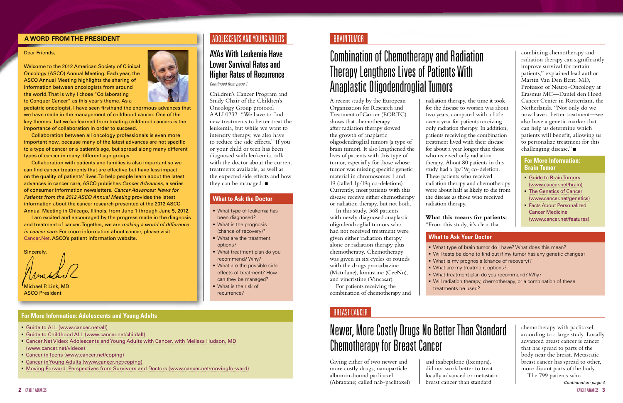#### <span id="page-1-0"></span>**A WORD FROM THE PRESIDENT**

#### Dear Friends,

Welcome to the 2012 American Society of Clinical Oncology (ASCO) Annual Meeting. Each year, the ASCO Annual Meeting highlights the sharing of information between oncologists from around the world. That is why I chose "Collaborating to Conquer Cancer" as this year's theme. As a



pediatric oncologist, I have seen firsthand the enormous advances that we have made in the management of childhood cancer. One of the key themes that we've learned from treating childhood cancers is the importance of collaboration in order to succeed.

Collaboration between all oncology professionals is even more important now, because many of the latest advances are not specific to a type of cancer or a patient's age, but spread along many different types of cancer in many different age groups.

Michael P. Link, MD ASCO President

Collaboration with patients and families is also important so we can find cancer treatments that are effective but have less impact on the quality of patients' lives. To help people learn about the latest advances in cancer care, ASCO publishes *Cancer Advances,* a series of consumer information newsletters. *Cancer Advances: News for Patients from the 2012 ASCO Annual Meeting* provides the latest information about the cancer research presented at the 2012 ASCO Annual Meeting in Chicago, Illinois, from June 1 through June 5, 2012.

I am excited and encouraged by the progress made in the diagnosis and treatment of cancer. Together, we are *making a world of difference in cancer care.* For more information about cancer, please visit [Cancer.Net](http://www.cancer.net), ASCO's patient information website.

Sincerely,

#### <span id="page-1-1"></span>BRAIN TUMOR

## Combination of Chemotherapy and Radiation Therapy Lengthens Lives of Patients With Anaplastic Oligodendroglial Tumors

Children's Cancer Program and Study Chair of the Children's Oncology Group protocol AALL0232. "We have to find new treatments to better treat the leukemia, but while we want to intensify therapy, we also have to reduce the side effects." If you or your child or teen has been diagnosed with leukemia, talk with the doctor about the current treatments available, as well as the expected side effects and how they can be managed.  $\blacksquare$ 

A recent study by the European Organisation for Research and Treatment of Cancer (EORTC) shows that chemotherapy after radiation therapy slowed the growth of anaplastic oligodendroglial tumors (a type of brain tumor). It also lengthened the lives of patients with this type of tumor, especially for those whose tumor was missing specific genetic material in chromosomes 1 and 19 (called 1p/19q co-deletions). Currently, most patients with this disease receive either chemotherapy or radiation therapy, but not both.

In this study, 368 patients with newly diagnosed anaplastic oligodendroglial tumors who had not received treatment were given either radiation therapy alone or radiation therapy plus chemotherapy. Chemotherapy was given in six cycles or rounds with the drugs procarbazine (Matulane), lomustine (CeeNu), and vincristine (Vincasar).

For patients receiving the combination of chemotherapy and

combining chemotherapy and radiation therapy can significantly improve survival for certain patients," explained lead author Martin Van Den Bent, MD, Professor of Neuro-Oncology at Erasmus MC—Daniel den Hoed Cancer Center in Rotterdam, the Netherlands. "Not only do we now have a better treatment—we also have a genetic marker that can help us determine which patients will benefit, allowing us to personalize treatment for this challenging disease." $\blacksquare$ 

radiation therapy, the time it took for the disease to worsen was about two years, compared with a little over a year for patients receiving only radiation therapy. In addition, patients receiving the combination treatment lived with their disease for about a year longer than those who received only radiation therapy. About 80 patients in this study had a 1p/19q co-deletion. These patients who received radiation therapy and chemotherapy were about half as likely to die from the disease as those who received

# radiation therapy.

**What this means for patients:** "From this study, it's clear that

Giving either of two newer and more costly drugs, nanoparticle albumin-bound paclitaxel (Abraxane; called nab-paclitaxel)

and ixabepilone (Ixempra), did not work better to treat locally advanced or metastatic breast cancer than standard

## Newer, More Costly Drugs No Better Than Standard Chemotherapy for Breast Cancer

*Continued on page 4*

#### ADOLESCENTS AND YOUNG ADULTS

## AYAs With Leukemia Have Lower Survival Rates and Higher Rates of Recurrence

*Continued from page 1*

- What type of leukemia has been diagnosed?
- **What is the prognosis** (chance of recovery)?
- **What are the treatment** options?
- What treatment plan do you recommend? Why?
- **What are the possible side** effects of treatment? How can they be managed?
- What is the risk of recurrence?

#### **What to Ask the Doctor**

- [Guide to ALL](http://www.cancer.net/all) (www.cancer.net/all)
- [Guide to Childhood ALL \(www.cancer.net/childall\)](http://www.cancer.net/childall)
- [Cancer.Net Video: Adolescents and Young Adults with Cancer, with Melissa Hudson, MD](http://www.cancer.net/patient/Multimedia/Cancer.Net+Videos/Cancer+Basics/Adolescents+and+Young+Adults+with+Cancer,+with+Melissa+Hudson,+MD) [\(www.cancer.net/videos\)](http://www.cancer.net/patient/Multimedia/Cancer.Net+Videos/Cancer+Basics/Adolescents+and+Young+Adults+with+Cancer,+with+Melissa+Hudson,+MD)
- [Cancer in Teens \(www.cancer.net/coping\)](http://www.cancer.net/patient/Coping/Age-Specific+Information/Cancer+in+Teens)
- [Cancer in Young Adults \(www.cancer.net/coping\)](http://www.cancer.net/patient/Coping/Age-Specific+Information/Cancer+in+Young+Adults)
- [Moving Forward: Perspectives from Survivors and Doctors](http://www.cancer.net/movingforward) (www.cancer.net/movingforward)

#### **For More Information: Adolescents and Young Adults**

- treatments be used?
- What type of brain tumor do I have? What does this mean? Will tests be done to find out if my tumor has any genetic changes? What is my prognosis (chance of recovery)? ■ What are my treatment options? ■ What treatment plan do you recommend? Why? Will radiation therapy, chemotherapy, or a combination of these
- 
- 
- 
- 

#### **What to Ask Your Doctor**

- [Guide to Brain Tumors](http://www.cancer.net/brain) (www.cancer.net/brain)
- **[The Genetics of Cancer](http://www.cancer.net/patient/All+About+Cancer/Genetics/The+Genetics+of+Cancer)** (www.cancer.net/genetics)
- **[Facts About Personalized](http://www.cancer.net/patient/All+About+Cancer/Cancer.Net+Feature+Articles/Treatments%2C+Tests%2C+and+Procedures/Facts+About+Personalized+Cancer+Medicine)** [Cancer Medicine](http://www.cancer.net/patient/All+About+Cancer/Cancer.Net+Feature+Articles/Treatments%2C+Tests%2C+and+Procedures/Facts+About+Personalized+Cancer+Medicine) (www.cancer.net/features)

#### **For More Information: Brain Tumor**

chemotherapy with paclitaxel, according to a large study. Locally advanced breast cancer is cancer that has spread to parts of the body near the breast. Metastatic breast cancer has spread to other, more distant parts of the body. The 799 patients who

#### <span id="page-1-2"></span>BREAST CANCER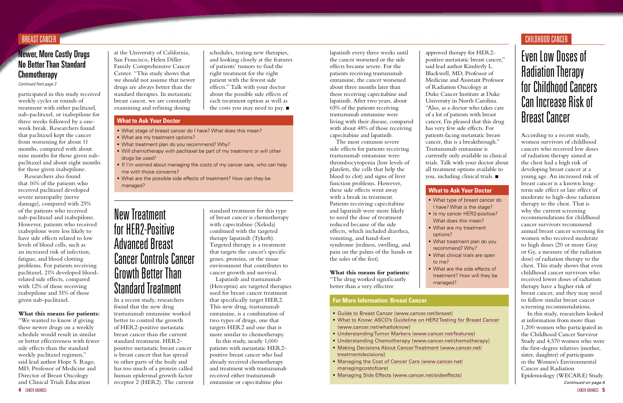schedules, testing new therapies, and looking closely at the features of patients' tumors to find the right treatment for the right patient with the fewest side effects." Talk with your doctor about the possible side effects of each treatment option as well as the costs you may need to pay.  $\blacksquare$ 

participated in this study received weekly cycles or rounds of treatment with either paclitaxel, nab-paclitaxel, or ixabepilone for three weeks followed by a oneweek break. Researchers found that paclitaxel kept the cancer from worsening for about 11 months, compared with about nine months for those given nabpaclitaxel and about eight months for those given ixabepilone.

Researchers also found that 16% of the patients who received paclitaxel developed severe neuropathy (nerve damage), compared with 25% of the patients who received nab-paclitaxel and ixabepilone. However, patients who received ixabepilone were less likely to have side effects related to low levels of blood cells, such as an increased risk of infection, fatigue, and blood clotting problems. For patients receiving paclitaxel, 21% developed bloodrelated side effects, compared with 12% of those receiving ixabepilone and 51% of those given nab-paclitaxel.

- [Guide to Breast Cancer](http://www.cancer.net/breast) (www.cancer.net/breast)
- [What to Know: ASCO's Guideline on HER2 Testing for Breast Cancer](http://www.cancer.net/patient/Publications+and+Resources/What+to+Know%3A+ASCO%27s+Guidelines/What+to+Know%3A+ASCO%27s+Guideline+on+HER2+Testing+for+Breast+Cancer) [\(www.cancer.net/whattoknow\)](http://www.cancer.net/patient/Publications+and+Resources/What+to+Know%3A+ASCO%27s+Guidelines/What+to+Know%3A+ASCO%27s+Guideline+on+HER2+Testing+for+Breast+Cancer)
- [Understanding Tumor Markers \(www.cancer.net/features\)](http://www.cancer.net/patient/All+About+Cancer/Cancer.Net+Feature+Articles/Treatments%2C+Tests%2C+and+Procedures/Understanding+Tumor+Markers)
- [Understanding Chemotherapy](http://www.cancer.net/chemotherapy) (www.cancer.net/chemotherapy) [Making Decisions About Cancer Treatment](http://www.cancer.net/treatmentdecisions) (www.cancer.net/ treatmentdecisions)
- [Managing the Cost of Cancer Care](http://www.cancer.net/managingcostofcare) (www.cancer.net/ managingcostofcare)
- [Managing Side Effects](http://www.cancer.net/sideeffects) (www.cancer.net/sideeffects)

#### **What this means for patients:**

"We wanted to know if giving these newer drugs on a weekly schedule would result in similar or better effectiveness with fewer side effects than the standard weekly paclitaxel regimen," said lead author Hope S. Rugo, MD, Professor of Medicine and Director of Breast Oncology and Clinical Trials Education

at the University of California, San Francisco, Helen Diller Family Comprehensive Cancer Center. "This study shows that we should not assume that newer drugs are always better than the standard therapies. In metastatic breast cancer, we are constantly examining and refining dosing

*Continued from page 3*

*Continued on page 6* In this study, researchers looked at information from more than 1,200 women who participated in the Childhood Cancer Survivor Study and 4,570 women who were the first-degree relatives (mother, sister, daughter) of participants in the Women's Environmental Cancer and Radiation Epidemiology (WECARE) Study.

#### **For More Information: Breast Cancer**

#### BREAST CANCER

## **Newer, More Costly Drugs** No Better Than Standard **Chemotherapy**

- What stage of breast cancer do I have? What does this mean?
- What are my treatment options?
- What treatment plan do you recommend? Why?
- Will chemotherapy with paclitaxel be part of my treatment or will other drugs be used?
- If I'm worried about managing the costs of my cancer care, who can help me with those concerns?
- What are the possible side effects of treatment? How can they be managed?

#### **What to Ask Your Doctor**

In a recent study, researchers found that the new drug trastuzumab emtansine worked better to control the growth of HER2-positive metastatic breast cancer than the current standard treatment. HER2 positive metastatic breast cancer is breast cancer that has spread to other parts of the body and has too much of a protein called human epidermal growth factor receptor 2 (HER2). The current

approved therapy for HER2 positive metastatic breast cancer," said lead author Kimberly L. Blackwell, MD, Professor of Medicine and Assistant Professor of Radiation Oncology at Duke Cancer Institute at Duke University in North Carolina. "Also, as a doctor who takes care of a lot of patients with breast cancer, I'm pleased that this drug has very few side effects. For patients facing metastatic breast cancer, this is a breakthrough." Trastuzumab emtansine is currently only available in clinical trials. Talk with your doctor about all treatment options available to you, including clinical trials.  $\blacksquare$ 

What are the side effects of treatment? How will they be

According to a recent study, women survivors of childhood cancers who received low doses of radiation therapy aimed at the chest had a high risk of developing breast cancer at a young age. An increased risk of breast cancer is a known longterm side effect or late effect of moderate to high-dose radiation therapy to the chest. That is why the current screening recommendations for childhood cancer survivors recommend annual breast cancer screening for women who received moderate to high doses (20 or more Gray or Gy, a measure of the radiation dose) of radiation therapy to the chest. This study shows that even childhood cancer survivors who received lower doses of radiation therapy have a higher risk of breast cancer, and they may need to follow similar breast cancer screening recommendations.

## New Treatment for HER2-Positive Advanced Breast Cancer Controls Cancer Growth Better Than Standard Treatment

## Even Low Doses of Radiation Therapy for Childhood Cancers Can Increase Risk of Breast Cancer

standard treatment for this type of breast cancer is chemotherapy with capecitabine (Xeloda) combined with the targeted therapy lapatinib (Tykerb). Targeted therapy is a treatment that targets the cancer's specific genes, proteins, or the tissue environment that contributes to cancer growth and survival.

Lapatinib and trastuzumab (Herceptin) are targeted therapies used for breast cancer treatment that specifically target HER2. This new drug, trastuzumab emtansine, is a combination of two types of drugs, one that targets HER2 and one that is more similar to chemotherapy.

In this study, nearly 1,000 patients with metastatic HER2 positive breast cancer who had already received chemotherapy and treatment with trastuzumab received either trastuzumab emtansine or capecitabine plus

lapatinib every three weeks until the cancer worsened or the side effects became severe. For the patients receiving trastuzumab emtansine, the cancer worsened about three months later than those receiving capecitabine and lapatinib. After two years, about 65% of the patients receiving trastuzumab emtansine were living with their disease, compared with about 48% of those receiving capecitabine and lapatinib.

The most common severe side effects for patients receiving trastuzumab emtansine were thrombocytopenia (low levels of platelets, the cells that help the blood to clot) and signs of liver function problems. However, these side effects went away with a break in treatment. Patients receiving capecitabine and lapatinib were more likely to need the dose of treatment reduced because of the side effects, which included diarrhea, vomiting, and hand-foot syndrome (redness, swelling, and pain on the palms of the hands or the soles of the feet).

## **What this means for patients:**

"The drug worked significantly better than a very effective

 What treatment plan do you recommend? Why? What clinical trials are open

- 
- 
- options?
- to me?
- managed?

• What type of breast cancer do I have? What is the stage? **Is my cancer HER2-positive?** What does this mean? **What are my treatment** 

#### **What to Ask Your Doctor**

#### <span id="page-2-0"></span>CHILDHOOD CANCER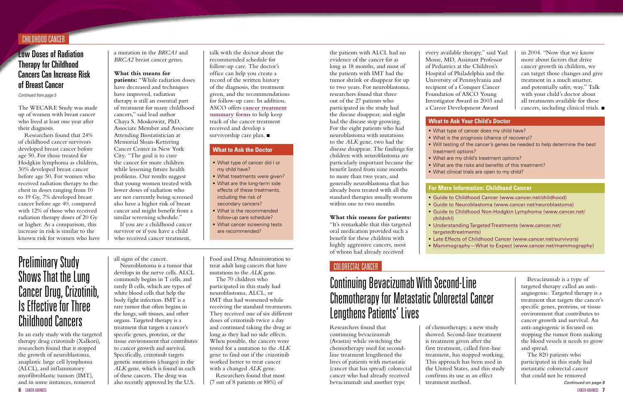#### Low Doses of Radiation Therapy for Childhood Cancers Can Increase Risk of Breast Cancer

*Continued from page 5*

- [Guide to Childhood Cancer](http://www.cancer.net/childhood) (www.cancer.net/childhood) [Guide to Neuroblastoma](http://www.cancer.net/neuroblastoma) (www.cancer.net/neuroblastoma)
- [Guide to Childhood Non-Hodgkin Lymphoma](http://www.cancer.net/childnhl) (www.cancer.net/
- 
- 
- childnhl)
- 
- 
- 

 [Understanding Targeted Treatments](http://www.cancer.net/targetedtreatments) (www.cancer.net/ targetedtreatments) [Late Effects of Childhood Cancer](http://www.cancer.net/patient/All+About+Cancer/Cancer.Net+Feature+Articles/After+Treatment+and+Survivorship/Late+Effects+of+Childhood+Cancer) (www.cancer.net/survivors) [Mammography—What to Expect](http://www.cancer.net/mammography) (www.cancer.net/mammography)

#### **For More Information: Childhood Cancer**

#### CHILDHOOD CANCER

The WECARE Study was made up of women with breast cancer who lived at least one year after their diagnosis.

Researchers found that 24% of childhood cancer survivors developed breast cancer before age 50. For those treated for Hodgkin lymphoma as children, 30% developed breast cancer before age 50. For women who received radiation therapy to the chest in doses ranging from 10 to 19 Gy, 7% developed breast cancer before age 40, compared with 12% of those who received radiation therapy doses of 20 Gy or higher. As a comparison, this increase in risk is similar to the known risk for women who have

talk with the doctor about the recommended schedule for follow-up care. The doctor's office can help you create a record of the written history of the diagnosis, the treatment given, and the recommendations for follow-up care. In addition, ASCO offers **[cancer treatment](http://www.cancer.net/treatmentsummaries) [summary forms](http://www.cancer.net/treatmentsummaries)** to help keep track of the cancer treatment received and develop a survivorship care plan.  $\blacksquare$ 

a mutation in the *BRCA1* and *BRCA2* breast cancer genes.

#### **What this means for**

**patients:** "While radiation doses have decreased and techniques have improved, radiation therapy is still an essential part of treatment for many childhood cancers," said lead author Chaya S. Moskowitz, PhD, Associate Member and Associate Attending Biostatistician at Memorial Sloan-Kettering Cancer Center in New York City. "The goal is to cure the cancer for more children while lessening future health problems. Our results suggest that young women treated with lower doses of radiation who are not currently being screened also have a higher risk of breast cancer and might benefit from a similar screening schedule."

If you are a childhood cancer survivor or if you have a child who received cancer treatment,

- What type of cancer did I or my child have?
- **What treatments were given?**
- **What are the long-term side** effects of these treatments, including the risk of secondary cancers?
- What is the recommended follow-up care schedule?
- **What cancer screening tests** are recommended?

#### **What to Ask the Doctor**

In an early study with the targeted therapy drug crizotinib (Xalkori), researchers found that it stopped the growth of neuroblastoma, anaplastic large cell lymphoma (ALCL), and inflammatory myofibroblastic tumors (IMT), and in some instances, removed

Researchers found that continuing bevacizumab (Avastin) while switching the chemotherapy used for secondline treatment lengthened the lives of patients with metastatic (cancer that has spread) colorectal cancer who had already received bevacizumab and another type

in 2004. "Now that we know more about factors that drive cancer growth in children, we can target those changes and give treatment in a much smarter, and potentially safer, way." Talk with your child's doctor about all treatments available for these cancers, including clinical trials.  $\blacksquare$ 

- What type of cancer does my child have?
- What is the prognosis (chance of recovery)?
- Will testing of the cancer's genes be needed to help determine the best treatment options?
- **What are my child's treatment options?**
- What are the risks and benefits of this treatment?
- What clinical trials are open to my child?

## Preliminary Study Shows That the Lung Cancer Drug, Crizotinib, Is Effective for Three Childhood Cancers

## Continuing Bevacizumab With Second-Line Chemotherapy for Metastatic Colorectal Cancer Lengthens Patients' Lives

all signs of the cancer.

Neuroblastoma is a tumor that develops in the nerve cells. ALCL commonly begins in T cells, and rarely B cells, which are types of white blood cells that help the body fight infection. IMT is a rare tumor that often begins in the lungs, soft tissues, and other organs. Targeted therapy is a treatment that targets a cancer's specific genes, proteins, or the tissue environment that contributes to cancer growth and survival. Specifically, crizotinib targets genetic mutations (changes) in the *ALK* gene, which is found in each of these cancers. The drug was also recently approved by the U.S.

*Continued on page 8* The 820 patients who participated in this study had metastatic colorectal cancer that could not be removed

Food and Drug Administration to treat adult lung cancers that have mutations to the *ALK* gene.

The 70 children who participated in this study had neuroblastoma, ALCL, or IMT that had worsened while receiving the standard treatments. They received one of six different doses of crizotinib twice a day and continued taking the drug as long as they had no side effects. When possible, the cancers were tested for a mutation to the *ALK* gene to find out if the crizotinib worked better to treat cancer with a changed *ALK* gene.

Researchers found that most (7 out of 8 patients or 88%) of

the patients with ALCL had no evidence of the cancer for as long as 18 months, and most of the patients with IMT had the tumor shrink or disappear for up to two years. For neuroblastoma, researchers found that three out of the 27 patients who participated in the study had the disease disappear, and eight had the disease stop growing. For the eight patients who had neuroblastoma with mutations to the *ALK* gene, two had the disease disappear. The findings for children with neuroblastoma are particularly important because the benefit lasted from nine months

to more than two years, and generally neuroblastoma that has already been treated with all the standard therapies usually worsens within one to two months.

#### **What this means for patients:**

"It's remarkable that this targeted oral medication provided such a benefit for these children with highly aggressive cancers, most of whom had already received

every available therapy," said Yael Mosse, MD, Assistant Professor of Pediatrics at the Children's Hospital of Philadelphia and the University of Pennsylvania and recipient of a Conquer Cancer Foundation of ASCO Young Investigator Award in 2003 and a Career Development Award

#### **What to Ask Your Child's Doctor**

- 
- 
- 
- 
- 
- 

## <span id="page-3-0"></span>COLORECTAL CANCER

of chemotherapy, a new study showed. Second-line treatment is treatment given after the first treatment, called first-line treatment, has stopped working. This approach has been used in the United States, and this study confirms its use as an effect treatment method.

Bevacizumab is a type of targeted therapy called an antiangiogenic. Targeted therapy is a treatment that targets the cancer's specific genes, proteins, or tissue environment that contributes to cancer growth and survival. An anti-angiogenic is focused on stopping the tumor from making the blood vessels it needs to grow and spread.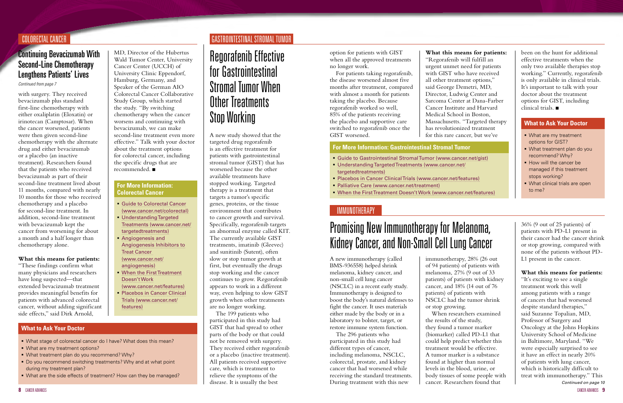## Continuing Bevacizumab With Second-Line Chemotherapy Lengthens Patients' Lives

*Continued from page 7*

#### COLORECTAL CANCER GASTROINTESTINAL STROMAL TUMOR

with surgery. They received bevacizumab plus standard first-line chemotherapy with either oxaliplatin (Eloxatin) or irinotecan (Camptosar). When the cancer worsened, patients were then given second-line chemotherapy with the alternate drug and either bevacizumab or a placebo (an inactive treatment). Researchers found that the patients who received bevacizumab as part of their second-line treatment lived about 11 months, compared with nearly 10 months for those who received chemotherapy and a placebo for second-line treatment. In addition, second-line treatment with bevacizumab kept the cancer from worsening for about a month and a half longer than chemotherapy alone.

#### **What this means for patients:**

"These findings confirm what many physicians and researchers have long suspected—that extended bevacizumab treatment provides meaningful benefits for patients with advanced colorectal cancer, without adding significant side effects," said Dirk Arnold,

#### MD, Director of the Hubertus Wald Tumor Center, University Cancer Center (UCCH) of University Clinic Eppendorf, Hamburg, Germany, and Speaker of the German AIO Colorectal Cancer Collaborative Study Group, which started the study. "By switching chemotherapy when the cancer worsens and continuing with bevacizumab, we can make second-line treatment even more effective." Talk with your doctor about the treatment options for colorectal cancer, including the specific drugs that are recommended. <sup>n</sup>

- What stage of colorectal cancer do I have? What does this mean?
- What are my treatment options?
- What treatment plan do you recommend? Why?
- Do you recommend switching treatments? Why and at what point during my treatment plan?
- What are the side effects of treatment? How can they be managed?

#### **What to Ask Your Doctor**

- [Guide to Colorectal Cancer](http://www.cancer.net/colorectal) (www.cancer.net/colorectal)
- **[Understanding Targeted](http://www.cancer.net/targetedtreatments)** [Treatments](http://www.cancer.net/targetedtreatments) (www.cancer.net/ targetedtreatments)
- **[Angiogenesis and](http://www.cancer.net/angiogenesis)** [Angiogenesis Inhibitors to](http://www.cancer.net/angiogenesis) [Treat Cancer](http://www.cancer.net/angiogenesis) (www.cancer.net/ angiogenesis)
- [When the First Treatment](http://www.cancer.net/patient/All+About+Cancer/Cancer.Net+Feature+Articles/Treatments,+Tests,+and+Procedures/When+the+First+Treatment+Doesn%27t+Work) [Doesn't Work](http://www.cancer.net/patient/All+About+Cancer/Cancer.Net+Feature+Articles/Treatments,+Tests,+and+Procedures/When+the+First+Treatment+Doesn%27t+Work)
- (www.cancer.net/features) **[Placebos in Cancer Clinical](http://www.cancer.net/patient/All+About+Cancer/Cancer.Net+Feature+Articles/Treatments%2C+Tests%2C+and+Procedures/ASCO+Expert+Corner%3A+Placebos+in+Cancer+Clinical+Trials)** [Trials](http://www.cancer.net/patient/All+About+Cancer/Cancer.Net+Feature+Articles/Treatments%2C+Tests%2C+and+Procedures/ASCO+Expert+Corner%3A+Placebos+in+Cancer+Clinical+Trials) (www.cancer.net/ features)
- **What are my treatment** options for GIST?
- What treatment plan do you recommend? Why?
- **How will the cancer be** managed if this treatment stops working?
- **What clinical trials are open** to me?

#### **For More Information: Colorectal Cancer**

been on the hunt for additional effective treatments when the only two available therapies stop working." Currently, regorafenib is only available in clinical trials. It's important to talk with your doctor about the treatment options for GIST, including  $\tilde{\text{cl}}$ inical trials.

A new study showed that the targeted drug regorafenib is an effective treatment for patients with gastrointestinal stromal tumor (GIST) that has worsened because the other available treatments have stopped working. Targeted therapy is a treatment that targets a tumor's specific genes, proteins, or the tissue environment that contributes to cancer growth and survival. Specifically, regorafenib targets an abnormal enzyme called KIT. The currently available GIST treatments, imatinib (Gleevec) and sunitinib (Sutent), often slow or stop tumor growth at first, but eventually the drugs stop working and the cancer continues to grow. Regorafenib appears to work in a different way, even helping to slow GIST growth when other treatments are no longer working.

The 199 patients who participated in this study had GIST that had spread to other parts of the body or that could not be removed with surgery. They received either regorafenib or a placebo (inactive treatment). All patients received supportive care, which is treatment to relieve the symptoms of the disease. It is usually the best

## <span id="page-4-0"></span>Regorafenib Effective for Gastrointestinal Stromal Tumor When Other Treatments Stop Working

*Continued on page 10* "It's exciting to see a single treatment work this well among patients with a range of cancers that had worsened despite standard therapies," said Suzanne Topalian, MD, Professor of Surgery and Oncology at the Johns Hopkins University School of Medicine in Baltimore, Maryland. "We were especially surprised to see it have an effect in nearly 20% of patients with lung cancer, which is historically difficult to treat with immunotherapy." This

option for patients with GIST when all the approved treatments no longer work.

For patients taking regorafenib, the disease worsened almost five months after treatment, compared with almost a month for patients taking the placebo. Because regorafenib worked so well, 85% of the patients receiving the placebo and supportive care switched to regorafenib once the GIST worsened.

- [Guide to Gastrointestinal Stromal Tumor](http://www.cancer.net/gist) (www.cancer.net/gist)
- [Understanding Targeted Treatments](http://www.cancer.net/targetedtreatments) (www.cancer.net/ targetedtreatments)
- [Placebos in Cancer Clinical Trials](http://www.cancer.net/patient/All+About+Cancer/Cancer.Net+Feature+Articles/Treatments%2C+Tests%2C+and+Procedures/ASCO+Expert+Corner%3A+Placebos+in+Cancer+Clinical+Trials) (www.cancer.net/features)
- [Palliative Care](http://www.cancer.net/patient/All+About+Cancer/Treating+Cancer/Palliative+Care) (www.cancer.net/treatment)
- [When the First Treatment Doesn't Work](http://www.cancer.net/patient/All+About+Cancer/Cancer.Net+Feature+Articles/Treatments,+Tests,+and+Procedures/When+the+First+Treatment+Doesn%27t+Work) (www.cancer.net/features)

#### **For More Information: Gastrointestinal Stromal Tumor**

#### **What to Ask Your Doctor**

#### **What this means for patients:**

"Regorafenib will fulfill an urgent unmet need for patients with GIST who have received all other treatment options," said George Demetri, MD, Director, Ludwig Center and Sarcoma Center at Dana-Farber Cancer Institute and Harvard Medical School in Boston, Massachusetts. "Targeted therapy has revolutionized treatment for this rare cancer, but we've

#### <span id="page-4-1"></span>IMMUNOTHERAPY

A new immunotherapy (called BMS-936558) helped shrink melanoma, kidney cancer, and non-small cell lung cancer (NSCLC) in a recent early study. Immunotherapy is designed to boost the body's natural defenses to fight the cancer. It uses materials either made by the body or in a laboratory to bolster, target, or restore immune system function.

The 296 patients who participated in this study had different types of cancer, including melanoma, NSCLC, colorectal, prostate, and kidney cancer that had worsened while receiving the standard treatments. During treatment with this new

# Promising New Immunotherapy for Melanoma, Kidney Cancer, and Non-Small Cell Lung Cancer

immunotherapy, 28% (26 out of 94 patients) of patients with melanoma, 27% (9 out of 33 patients) of patients with kidney cancer, and 18% (14 out of 76 patients) of patients with NSCLC had the tumor shrink or stop growing. When researchers examined the results of the study, they found a tumor marker (biomarker) called PD-L1 that could help predict whether this treatment would be effective. A tumor marker is a substance found at higher than normal levels in the blood, urine, or body tissues of some people with cancer. Researchers found that

36% (9 out of 25 patients) of patients with PD-L1 present in their cancer had the cancer shrink or stop growing, compared with none of the patients without PD-L1 present in the cancer.

#### **What this means for patients:**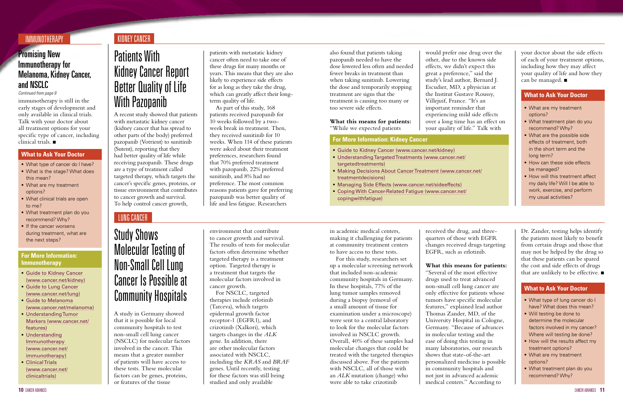## <span id="page-5-0"></span>KIDNEY CANCER

## **Promising New** Immunotherapy for Melanoma, Kidney Cancer, and NSCLC

immunotherapy is still in the early stages of development and only available in clinical trials. Talk with your doctor about all treatment options for your specific type of cancer, including clinical trials.  $\blacksquare$ 

*Continued from page 9*

#### IMMUNOTHERAPY

- [Guide to Kidney Cancer](http://www.cancer.net/kidney) (www.cancer.net/kidney)
- [Understanding Targeted Treatments](http://www.cancer.net/targetedtreatments) (www.cancer.net/ targetedtreatments)
- [Making Decisions About Cancer Treatment](http://www.cancer.net/treatmentdecisions) (www.cancer.net/ treatmentdecisions)
- [Managing Side Effects](http://www.cancer.net/sideeffects) (www.cancer.net/sideeffects)
- [Coping With Cancer-Related Fatigue](http://www.cancer.net/copingwithfatigue) (www.cancer.net/ copingwithfatigue)
- What type of cancer do I have?
- What is the stage? What does this mean?
- **What are my treatment** options?
- **What clinical trials are open** to me?
- What treatment plan do you recommend? Why?
- If the cancer worsens during treatment, what are the next steps?
- **What are my treatment** options?
- What treatment plan do you recommend? Why?
- **What are the possible side** effects of treatment, both in the short term and the long term?
- **How can these side effects** be managed?
- **How will this treatment affect** my daily life? Will I be able to work, exercise, and perform my usual activities?

- [Guide to Kidney Cancer](http://www.cancer.net/kidney) (www.cancer.net/kidney)
- **[Guide to Lung Cancer](http://www.cancer.net/lung)** (www.cancer.net/lung)
- [Guide to Melanoma](http://www.cancer.net/melanoma) (www.cancer.net/melanoma)
- [Understanding Tumor](http://www.cancer.net/patient/All+About+Cancer/Cancer.Net+Feature+Articles/Treatments%2C+Tests%2C+and+Procedures/Understanding+Tumor+Markers) [Markers](http://www.cancer.net/patient/All+About+Cancer/Cancer.Net+Feature+Articles/Treatments%2C+Tests%2C+and+Procedures/Understanding+Tumor+Markers) (www.cancer.net/ features)
- [Understanding](http://www.cancer.net/immunotherapy) [Immunotherapy](http://www.cancer.net/immunotherapy) (www.cancer.net/ immunotherapy)
- [Clinical Trials](http://www.cancer.net/clinicaltrials)  (www.cancer.net/ clinicaltrials)

#### **For More Information: Kidney Cancer**

#### **For More Information: Immunotherapy**

- What type of lung cancer do I have? What does this mean?
- Will testing be done to determine the molecular factors involved in my cancer? Where will testing be done?
- How will the results affect my treatment options?
- **What are my treatment** options?
- What treatment plan do you recommend? Why?

#### **What to Ask Your Doctor**

#### **What to Ask Your Doctor**

#### **What to Ask Your Doctor**

your doctor about the side effects of each of your treatment options, including how they may affect your quality of life and how they can be managed.  $\blacksquare$ 

A recent study showed that patients with metastatic kidney cancer (kidney cancer that has spread to other parts of the body) preferred pazopanib (Votrient) to sunitinib (Sutent), reporting that they had better quality of life while receiving pazopanib. These drugs are a type of treatment called targeted therapy, which targets the cancer's specific genes, proteins, or tissue environment that contributes to cancer growth and survival. To help control cancer growth,

A study in Germany showed that it is possible for local community hospitals to test non-small cell lung cancer (NSCLC) for molecular factors involved in the cancer. This means that a greater number of patients will have access to these tests. These molecular factors can be genes, proteins, or features of the tissue

# Patients With Kidney Cancer Report Better Quality of Life With Pazopanib

## Study Shows Molecular Testing of Non-Small Cell Lung Cancer Is Possible at Community Hospitals

patients with metastatic kidney cancer often need to take one of these drugs for many months or years. This means that they are also likely to experience side effects for as long as they take the drug, which can greatly affect their long-

term quality of life.

Dr. Zander, testing helps identify the patients most likely to benefit from certain drugs and those that may not be helped by the drug so that these patients can be spared the cost and side effects of drugs that are unlikely to be effective.  $\blacksquare$ 

As part of this study, 168 patients received pazopanib for 10 weeks followed by a twoweek break in treatment. Then, they received sunitinib for 10 weeks. When 114 of these patients were asked about their treatment preferences, researchers found that 70% preferred treatment with pazopanib, 22% preferred sunitinib, and 8% had no preference. The most common reasons patients gave for preferring pazopanib was better quality of life and less fatigue. Researchers

also found that patients taking pazopanib needed to have the dose lowered less often and needed fewer breaks in treatment than when taking sunitinib. Lowering the dose and temporarily stopping treatment are signs that the treatment is causing too many or too severe side effects.

**What this means for patients:** "While we expected patients

would prefer one drug over the other, due to the known side effects, we didn't expect this great a preference," said the study's lead author, Bernard J. Escudier, MD, a physician at the Institut Gustave Roussy, experiencing mild side effects over a long time has an effect on your quality of life." Talk with

Villejuif, France. "It's an important reminder that

## <span id="page-5-1"></span>LUNG CANCER

environment that contribute to cancer growth and survival. The results of tests for molecular factors often determine whether targeted therapy is a treatment option. Targeted therapy is a treatment that targets the molecular factors involved in cancer growth.

For NSCLC, targeted therapies include erlotinib (Tarceva), which targets epidermal growth factor receptor-1 (EGFR1), and crizotinib (Xalkori), which targets changes in the *ALK* gene. In addition, there are other molecular factors associated with NSCLC, including the *KRAS* and *BRAF* genes. Until recently, testing for these factors was still being studied and only available

in academic medical centers, making it challenging for patients at community treatment centers to have access to these tests.

For this study, researchers set up a molecular screening network that included non-academic community hospitals in Germany. In these hospitals, 77% of the lung tumor samples removed during a biopsy (removal of a small amount of tissue for examination under a microscope) were sent to a central laboratory to look for the molecular factors involved in NSCLC growth. Overall, 40% of these samples had molecular changes that could be treated with the targeted therapies discussed above. For the patients with NSCLC, all of those with an *ALK* mutation (change) who were able to take crizotinib

received the drug, and threequarters of those with EGFR changes received drugs targeting EGFR, such as erlotinib.

#### **What this means for patients:**

"Several of the most effective drugs used to treat advanced non-small cell lung cancer are only effective for patients whose tumors have specific molecular features," explained lead author Thomas Zander, MD, of the University Hospital in Cologne, Germany. "Because of advances in molecular testing and the ease of doing this testing in many laboratories, our research shows that state-of-the-art personalized medicine is possible in community hospitals and not just in advanced academic medical centers." According to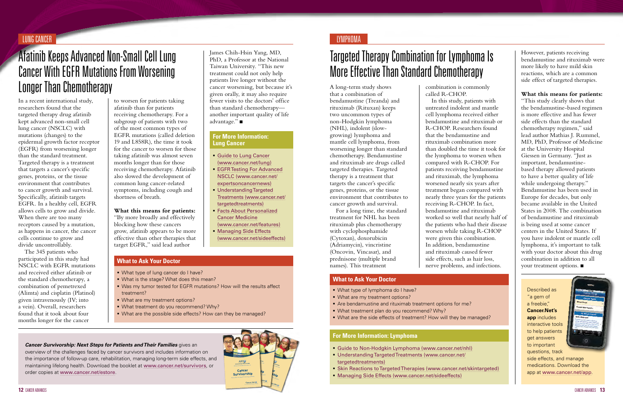#### ASCO **Cancer Cancer Survivorship Survivorship**<br> **Survivorship Newton** Ship **Next Steps for Patients and Their Families12** CANCER ADVANCES CANCER ADVANCES **13**

"This study clearly shows that the bendamustine-based regimen is more effective and has fewer side effects than the standard chemotherapy regimen," said lead author Mathias J. Rummel, MD, PhD, Professor of Medicine at the University Hospital Giessen in Germany. "Just as important, bendamustinebased therapy allowed patients to have a better quality of life while undergoing therapy." Bendamustine has been used in Europe for decades, but only became available in the United States in 2008. The combination of bendamustine and rituximab is being used at some cancer centers in the United States. If you have indolent or mantle cell lymphoma, it's important to talk with your doctor about this drug combination in addition to all your treatment options.  $\blacksquare$ 

However, patients receiving bendamustine and rituximab were more likely to have mild skin reactions, which are a common side effect of targeted therapies.

#### **What this means for patients:**

In a recent international study, researchers found that the targeted therapy drug afatinib kept advanced non-small cell lung cancer (NSCLC) with mutations (changes) to the epidermal growth factor receptor (EGFR) from worsening longer than the standard treatment. Targeted therapy is a treatment that targets a cancer's specific genes, proteins, or the tissue environment that contributes to cancer growth and survival. Specifically, afatinib targets EGFR. In a healthy cell, EGFR allows cells to grow and divide. When there are too many receptors caused by a mutation, as happens in cancer, the cancer cells continue to grow and divide uncontrollably.

The 345 patients who participated in this study had NSCLC with EGFR mutations and received either afatinib or the standard chemotherapy, a combination of pemetrexed (Alimta) and cisplatin (Platinol) given intravenously (IV; into a vein). Overall, researchers found that it took about four months longer for the cancer

- **[Guide to Lung Cancer](http://www.cancer.net/lung)** (www.cancer.net/lung)
- [EGFR Testing For Advanced](http://www.cancer.net/patient/Cancer+News+and+Meetings/Expert+Perspective+on+Cancer+News/Epidermal+Growth+Factor+Receptor+%28EGFR%29+Testing+for+Advanced+Non-Small+Cell+Lung+Cancer) [NSCLC](http://www.cancer.net/patient/Cancer+News+and+Meetings/Expert+Perspective+on+Cancer+News/Epidermal+Growth+Factor+Receptor+%28EGFR%29+Testing+for+Advanced+Non-Small+Cell+Lung+Cancer) (www.cancer.net/ expertsoncancernews)
- **[Understanding Targeted](http://www.cancer.net/targetedtreatments)** [Treatments](http://www.cancer.net/targetedtreatments) (www.cancer.net/ targetedtreatments)
- **[Facts About Personalized](http://www.cancer.net/patient/All+About+Cancer/Cancer.Net+Feature+Articles/Treatments%2C+Tests%2C+and+Procedures/Facts+About+Personalized+Cancer+Medicine)** [Cancer Medicine](http://www.cancer.net/patient/All+About+Cancer/Cancer.Net+Feature+Articles/Treatments%2C+Tests%2C+and+Procedures/Facts+About+Personalized+Cancer+Medicine) (www.cancer.net/features)
- **[Managing Side Effects](http://www.cancer.net/sideeffects)** (www.cancer.net/sideeffects)

James Chih-Hsin Yang, MD, PhD, a Professor at the National Taiwan University. "This new treatment could not only help patients live longer without the cancer worsening, but because it's given orally, it may also require fewer visits to the doctors' office than standard chemotherapy another important quality of life advantage." $\blacksquare$ 

A long-term study shows that a combination of bendamustine (Treanda) and rituximab (Rituxan) keeps two uncommon types of non-Hodgkin lymphoma (NHL), indolent (slowgrowing) lymphoma and mantle cell lymphoma, from worsening longer than standard chemotherapy. Bendamustine and rituximab are drugs called targeted therapies. Targeted therapy is a treatment that targets the cancer's specific genes, proteins, or the tissue environment that contributes to cancer growth and survival.

For a long time, the standard treatment for NHL has been rituximab plus chemotherapy with cyclophosphamide (Cytoxan), doxorubicin (Adriamycin), vincristine (Oncovin, Vincasar), and prednisone (multiple brand names). This treatment

# Afatinib Keeps Advanced Non-Small Cell Lung Cancer With EGFR Mutations From Worsening Longer Than Chemotherapy

# <span id="page-6-0"></span>Targeted Therapy Combination for Lymphoma Is More Effective Than Standard Chemotherapy

#### LUNG CANCER LYMPHOMA

to worsen for patients taking afatinib than for patients receiving chemotherapy. For a subgroup of patients with two of the most common types of EGFR mutations (called deletion 19 and L858R), the time it took for the cancer to worsen for those taking afatinib was almost seven months longer than for those receiving chemotherapy. Afatinib also slowed the development of common lung cancer-related symptoms, including cough and shortness of breath.

**What this means for patients:** "By more broadly and effectively blocking how these cancers grow, afatinib appears to be more effective than other therapies that target EGFR," said lead author

#### **For More Information: Lung Cancer**

- What type of lung cancer do I have?
- What is the stage? What does this mean?
- Was my tumor tested for EGFR mutations? How will the results affect treatment?
- What are my treatment options?
- What treatment do you recommend? Why?
- What are the possible side effects? How can they be managed?

#### **What to Ask Your Doctor**

combination is commonly called R-CHOP. In this study, patients with untreated indolent and mantle cell lymphoma received either bendamustine and rituximab or R-CHOP. Researchers found that the bendamustine and rituximab combination more than doubled the time it took for the lymphoma to worsen when compared with R-CHOP. For patients receiving bendamustine and rituximab, the lymphoma worsened nearly six years after treatment began compared with nearly three years for the patients receiving R-CHOP. In fact, bendamustine and rituximab worked so well that nearly half of the patients who had their disease worsen while taking R-CHOP were given this combination. In addition, bendamustine and rituximab caused fewer side effects, such as hair loss, nerve problems, and infections.

- [Guide to Non-Hodgkin Lymphoma](http://www.cancer.net/nhl) (www.cancer.net/nhl)
- [Understanding Targeted Treatments](http://www.cancer.net/targetedtreatments) (www.cancer.net/ targetedtreatments)
- [Skin Reactions to Targeted Therapies](http://www.cancer.net/skintargeted) (www.cancer.net/skintargeted)
- [Managing Side Effects](http://www.cancer.net/sideeffects) (www.cancer.net/sideeffects)

#### **For More Information: Lymphoma**

- What type of lymphoma do I have?
- What are my treatment options?
- Are bendamustine and rituximab treatment options for me?
- What treatment plan do you recommend? Why?
- What are the side effects of treatment? How will they be managed?

#### **What to Ask Your Doctor**

*Cancer Survivorship: Next Steps for Patients and Their Families* gives an overview of the challenges faced by cancer survivors and includes information on the importance of follow-up care, rehabilitation, managing long-term side effects, and maintaining lifelong health. Download the booklet at [www.cancer.net/survivors](http://www.cancer.net/survivors), or order copies at [www.cancer.net/estore](http://www.cancer.net/estore).

Described as "a gem of a freebie," **Cancer.Net's app** includes interactive tools to help patients get answers to important questions, track

side effects, and manage medications. Download the app at [www.cancer.net/app](http://www.cancer.net/app).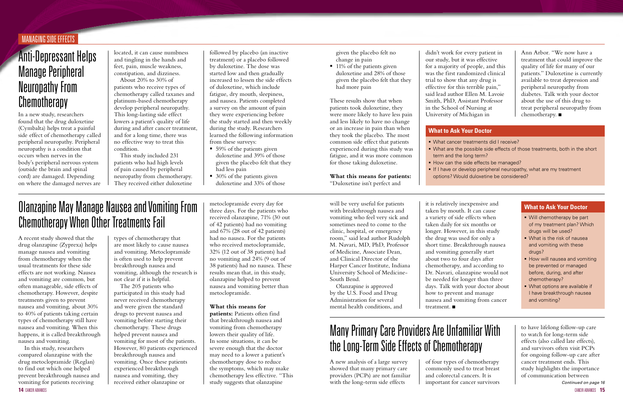#### <span id="page-7-0"></span>MANAGING SIDE EFFECTS

In a new study, researchers found that the drug duloxetine (Cymbalta) helps treat a painful side effect of chemotherapy called peripheral neuropathy. Peripheral neuropathy is a condition that occurs when nerves in the body's peripheral nervous system (outside the brain and spinal cord) are damaged. Depending on where the damaged nerves are

**14** CANCER ADVANCES CANCER ADVANCES **15** In this study, researchers compared olanzapine with the drug metoclopramide (Reglan) to find out which one helped prevent breakthrough nausea and vomiting for patients receiving

# Anti-Depressant Helps Manage Peripheral Neuropathy From **Chemotherapy**

A recent study showed that the drug olanzapine (Zyprexa) helps manage nausea and vomiting from chemotherapy when the usual treatments for these side effects are not working. Nausea and vomiting are common, but often manageable, side effects of chemotherapy. However, despite treatments given to prevent nausea and vomiting, about 30% to 40% of patients taking certain types of chemotherapy still have nausea and vomiting. When this happens, it is called breakthrough nausea and vomiting.

# Olanzapine May Manage Nausea and Vomiting From Chemotherapy When Other Treatments Fail

- 59% of the patients given duloxetine and 39% of those given the placebo felt that they had less pain
- 30% of the patients given duloxetine and 33% of those

located, it can cause numbness and tingling in the hands and feet, pain, muscle weakness, constipation, and dizziness.

About 20% to 30% of patients who receive types of chemotherapy called taxanes and platinum-based chemotherapy develop peripheral neuropathy. This long-lasting side effect lowers a patient's quality of life during and after cancer treatment, and for a long time, there was no effective way to treat this condition.

This study included 231 patients who had high levels of pain caused by peripheral neuropathy from chemotherapy. They received either duloxetine

followed by placebo (an inactive treatment) or a placebo followed by duloxetine. The dose was started low and then gradually increased to lessen the side effects of duloxetine, which include fatigue, dry mouth, sleepiness, and nausea. Patients completed a survey on the amount of pain they were experiencing before the study started and then weekly during the study. Researchers learned the following information from these surveys:

■ 11% of the patients given duloxetine and 28% of those given the placebo felt that they had more pain

types of chemotherapy that are most likely to cause nausea and vomiting. Metoclopramide is often used to help prevent breakthrough nausea and vomiting, although the research is not clear if it is helpful.

The 205 patients who participated in this study had never received chemotherapy and were given the standard drugs to prevent nausea and vomiting before starting their chemotherapy. These drugs helped prevent nausea and vomiting for most of the patients. However, 80 patients experienced breakthrough nausea and vomiting. Once these patients experienced breakthrough nausea and vomiting, they received either olanzapine or

it is relatively inexpensive and taken by mouth. It can cause a variety of side effects when taken daily for six months or longer. However, in this study the drug was used for only a short time. Breakthrough nausea and vomiting generally start about two to four days after chemotherapy, and according to Dr. Navari, olanzapine would not be needed for longer than three days. Talk with your doctor about how to prevent and manage nausea and vomiting from cancer treatment.  $\blacksquare$ 

metoclopramide every day for three days. For the patients who received olanzapine, 71% (30 out of 42 patients) had no vomiting and 67% (28 out of 42 patients) had no nausea. For the patients who received metoclopramide, 32% (12 out of 38 patients) had no vomiting and 24% (9 out of 38 patients) had no nausea. These results mean that, in this study, olanzapine helped to prevent nausea and vomiting better than metoclopramide.

Ann Arbor. "We now have a treatment that could improve the quality of life for many of our patients." Duloxetine is currently available to treat depression and peripheral neuropathy from diabetes. Talk with your doctor about the use of this drug to treat peripheral neuropathy from chemotherapy.  $\blacksquare$ 

#### **What this means for**

**patients:** Patients often find that breakthrough nausea and vomiting from chemotherapy lowers their quality of life. In some situations, it can be severe enough that the doctor may need to a lower a patient's chemotherapy dose to reduce the symptoms, which may make chemotherapy less effective. "This study suggests that olanzapine

- What cancer treatments did I receive?
- What are the possible side effects of those treatments, both in the short term and the long term?
- How can the side effects be managed?
- If I have or develop peripheral neuropathy, what are my treatment
- options? Would duloxetine be considered?

- Will chemotherapy be part of my treatment plan? Which drugs will be used?
- What is the risk of nausea and vomiting with these drugs?
- **How will nausea and vomiting** be prevented or managed before, during, and after chemotherapy?
- **What options are available if** I have breakthrough nausea and vomiting?

#### **What to Ask Your Doctor**

#### **What to Ask Your Doctor**

given the placebo felt no change in pain

These results show that when patients took duloxetine, they were more likely to have less pain and less likely to have no change or an increase in pain than when they took the placebo. The most common side effect that patients experienced during this study was fatigue, and it was more common for those taking duloxetine.

**What this means for patients:** "Duloxetine isn't perfect and

A new analysis of a large survey showed that many primary care providers (PCPs) are not familiar with the long-term side effects

# Many Primary Care Providers Are Unfamiliar With the Long-Term Side Effects of Chemotherapy

of four types of chemotherapy commonly used to treat breast and colorectal cancers. It is important for cancer survivors

will be very useful for patients with breakthrough nausea and vomiting who feel very sick and sometimes need to come to the clinic, hospital, or emergency room," said lead author Rudolph M. Navari, MD, PhD, Professor of Medicine, Associate Dean, and Clinical Director of the Harper Cancer Institute, Indiana University School of Medicine-South Bend.

> to have lifelong follow-up care to watch for long-term side effects (also called late effects), and survivors often visit PCPs for ongoing follow-up care after cancer treatment ends. This study highlights the importance of communication between *Continued on page 16*

Olanzapine is approved by the U.S. Food and Drug Administration for several mental health conditions, and didn't work for every patient in our study, but it was effective for a majority of people, and this was the first randomized clinical trial to show that any drug is effective for this terrible pain," said lead author Ellen M. Lavoie Smith, PhD, Assistant Professor in the School of Nursing at University of Michigan in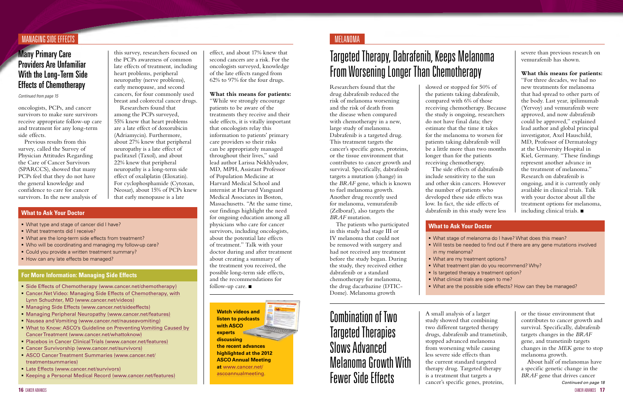#### MANAGING SIDE EFFECTS IN A MELANOMA AND SUCCESSIVE AND SUCCESSIVE AND MELANOMARY AND MELANOMARY AND MELANOMARY AND MELANOMARY AND MELANOMARY AND MELANOMARY AND MELANOMARY AND MELANOMARY AND MELANOMARY AND MELANOMARY AND ME

## **Many Primary Care** Providers Are Unfamiliar With the Long-Term Side Effects of Chemotherapy

*Continued from page 15*

oncologists, PCPs, and cancer survivors to make sure survivors receive appropriate follow-up care and treatment for any long-term side effects.

Previous results from this survey, called the Survey of Physician Attitudes Regarding the Care of Cancer Survivors (SPARCCS), showed that many PCPs feel that they do not have the general knowledge and confidence to care for cancer survivors. In the new analysis of this survey, researchers focused on the PCPs awareness of common late effects of treatment, including heart problems, peripheral neuropathy (nerve problems), early menopause, and second cancers, for four commonly used breast and colorectal cancer drugs.

Researchers found that among the PCPs surveyed, 55% knew that heart problems are a late effect of doxorubicin (Adriamycin). Furthermore, about 27% knew that peripheral neuropathy is a late effect of paclitaxel (Taxol), and about 22% knew that peripheral neuropathy is a long-term side effect of oxaliplatin (Eloxatin). For cyclophosphamide (Cytoxan, Neosar), about 15% of PCPs knew that early menopause is a late

"While we strongly encourage patients to be aware of the treatments they receive and their side effects, it is vitally important that oncologists relay this information to patients' primary care providers so their risks can be appropriately managed throughout their lives," said lead author Larissa Nekhlyudov, MD, MPH, Assistant Professor of Population Medicine at Harvard Medical School and internist at Harvard Vanguard Medical Associates in Boston, Massachusetts. "At the same time, our findings highlight the need for ongoing education among all physicians who care for cancer survivors, including oncologists, about the potential late effects of treatment." Talk with your doctor during and after treatment about creating a summary of the treatment you received, the possible long-term side effects, and the recommendations for follow-up care.  $\blacksquare$ 

- What type and stage of cancer did I have?
- What treatments did I receive?
- What are the long-term side effects from treatment?
- Who will be coordinating and managing my follow-up care?
- Could you provide a written treatment summary?
- How can any late effects be managed?

- [Side Effects of Chemotherapy](http://www.cancer.net/patient/All+About+Cancer/Cancer.Net+Feature+Articles/Side+Effects/Side+Effects+of+Chemotherapy?cpsextcurrchannel=1) (www.cancer.net/chemotherapy)
- [Cancer.Net Video: Managing Side Effects of Chemotherapy, with](http://www.cancer.net/patient/Multimedia/Cancer.Net+Videos/Side+Effects/Managing+Side+Effects+of+Chemotherapy%2C+with+Lynn+Schuchter%2C+MD) [Lynn Schuchter, MD](http://www.cancer.net/patient/Multimedia/Cancer.Net+Videos/Side+Effects/Managing+Side+Effects+of+Chemotherapy%2C+with+Lynn+Schuchter%2C+MD) (www.cancer.net/videos)
- [Managing Side Effects](http://www.cancer.net/sideeffects) (www.cancer.net/sideeffects)
- [Managing Peripheral Neuropathy](http://www.cancer.net/patient/All+About+Cancer/Cancer.Net+Feature+Articles/Side+Effects/Managing+Peripheral+Neuropathy) (www.cancer.net/features)
- [Nausea and Vomiting](http://www.cancer.net/nauseavomiting) (www.cancer.net/nauseavomiting)
- [What to Know: ASCO's Guideline on Preventing Vomiting Caused by](http://www.cancer.net/patient/Publications+and+Resources/What+to+Know%3A+ASCO%27s+Guidelines/What+to+Know%3A+ASCO%27s+Guideline+on+Preventing+Vomiting+Caused+by+Cancer+Treatment) [Cancer Treatment](http://www.cancer.net/patient/Publications+and+Resources/What+to+Know%3A+ASCO%27s+Guidelines/What+to+Know%3A+ASCO%27s+Guideline+on+Preventing+Vomiting+Caused+by+Cancer+Treatment) (www.cancer.net/whattoknow)
- [Placebos in Cancer Clinical Trials](http://www.cancer.net/patient/All+About+Cancer/Cancer.Net+Feature+Articles/Treatments%2C+Tests%2C+and+Procedures/ASCO+Expert+Corner%3A+Placebos+in+Cancer+Clinical+Trials) (www.cancer.net/features)
- [Cancer Survivorship](http://www.cancer.net/survivorship) (www.cancer.net/survivors)
- [ASCO Cancer Treatment Summaries](http://www.cancer.net/treatmentsummaries) (www.cancer.net/ treatmentsummaries)
- **[Late Effects](http://www.cancer.net/patient/Survivorship/Late+Effects) (www.cancer.net/survivors)**
- [Keeping a Personal Medical Record](http://www.cancer.net/patient/All+About+Cancer/Cancer.Net+Feature+Articles/Quality+of+Life/Keeping+a+Personal+Medical+Record) (www.cancer.net/features)

#### **For More Information: Managing Side Effects**

effect, and about 17% knew that second cancers are a risk. For the oncologists surveyed, knowledge of the late effects ranged from 62% to 97% for the four drugs.

#### **What this means for patients:**

new treatments for melanoma that had spread to other parts of the body. Last year, ipilimumab (Yervoy) and vemurafenib were approved, and now dabrafenib could be approved," explained lead author and global principal investigator, Axel Hauschild, MD, Professor of Dermatology at the University Hospital in Kiel, Germany. "These findings represent another advance in the treatment of melanoma." Research on dabrafenib is ongoing, and it is currently only available in clinical trials. Talk with your doctor about all the treatment options for melanoma, including clinical trials.  $\blacksquare$ 

- In Is targeted therapy a treatment option?
- What clinical trials are open to me?
- What stage of melanoma do I have? What does this mean? Will tests be needed to find out if there are any gene mutations involved
- in my melanoma?
- What are my treatment options?
- What treatment plan do you recommend? Why?
- 
- 
- What are the possible side effects? How can they be managed?

#### **What to Ask Your Doctor**

#### **What to Ask Your Doctor**

Researchers found that the drug dabrafenib reduced the risk of melanoma worsening and the risk of death from the disease when compared with chemotherapy in a new, large study of melanoma. Dabrafenib is a targeted drug. This treatment targets the cancer's specific genes, proteins, or the tissue environment that contributes to cancer growth and survival. Specifically, dabrafenib targets a mutation (change) in the *BRAF* gene, which is known to fuel melanoma growth. Another drug recently used for melanoma, vemurafenib (Zelboraf), also targets the *BRAF* mutation.

The patients who participated in this study had stage III or IV melanoma that could not be removed with surgery and had not received any treatment before the study began. During the study, they received either dabrafenib or a standard chemotherapy for melanoma, the drug dacarbazine (DTIC-Dome). Melanoma growth

> A small analysis of a larger study showed that combining two different targeted therapy drugs, dabrafenib and trametinib, stopped advanced melanoma from worsening while causing less severe side effects than the current standard targeted therapy drug. Targeted therapy is a treatment that targets a cancer's specific genes, proteins,

# <span id="page-8-0"></span>Targeted Therapy, Dabrafenib, Keeps Melanoma From Worsening Longer Than Chemotherapy

Combination of Two Targeted Therapies Slows Advanced Melanoma Growth With Fewer Side Effects

slowed or stopped for 50% of the patients taking dabrafenib, compared with 6% of those receiving chemotherapy. Because the study is ongoing, researchers do not have final data; they estimate that the time it takes for the melanoma to worsen for patients taking dabrafenib will be a little more than two months longer than for the patients receiving chemotherapy. The side effects of dabrafenib include sensitivity to the sun and other skin cancers. However the number of patients who developed these side effects was low. In fact, the side effects of

dabrafenib in this study were less

severe than previous research on vemurafenib has shown.

#### **What this means for patients:** "For three decades, we had no

or the tissue environment that contributes to cancer growth and survival. Specifically, dabrafenib targets changes in the *BRAF* gene, and trametinib targets changes in the *MEK* gene to stop melanoma growth.

*Continued on page 18* About half of melanomas have a specific genetic change in the *BRAF* gene that drives cancer

**Watch videos and listen to podcasts with ASCO experts discussing the recent advances highlighted at the 2012 ASCO Annual Meeting at** [www.cancer.net/](http://www.cancer.net/ascoannualmeeting) [ascoannualmeeting](http://www.cancer.net/ascoannualmeeting).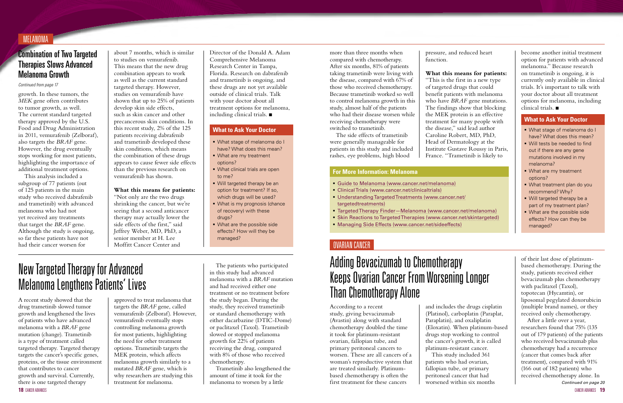#### Director of the Donald A. Adam Comprehensive Melanoma Research Center in Tampa, Florida. Research on dabrafenib and trametinib is ongoing, and these drugs are not yet available outside of clinical trials. Talk with your doctor about all treatment options for melanoma, including clinical trials.  $\blacksquare$

#### Combination of Two Targeted Therapies Slows Advanced Melanoma Growth

*Continued from page 17*

#### MELANOMA

growth. In these tumors, the *MEK* gene often contributes to tumor growth, as well. The current standard targeted therapy approved by the U.S. Food and Drug Administration in 2011, vemurafenib (Zelboraf), also targets the *BRAF* gene. However, the drug eventually stops working for most patients, highlighting the importance of additional treatment options.

This analysis included a subgroup of 77 patients (out of 125 patients in the main study who received dabrafenib and trametinib) with advanced melanoma who had not yet received any treatments that target the *BRAF* gene. Although the study is ongoing, so far these patients have not had their cancer worsen for

about 7 months, which is similar to studies on vemurafenib. This means that the new drug combination appears to work as well as the current standard targeted therapy. However, studies on vemurafenib have shown that up to 25% of patients develop skin side effects, such as skin cancer and other precancerous skin conditions. In this recent study, 2% of the 125 patients receiving dabrafenib and trametinib developed these skin conditions, which means the combination of these drugs appears to cause fewer side effects than the previous research on vemurafenib has shown.

#### **What this means for patients:**

"Not only are the two drugs shrinking the cancer, but we're seeing that a second anticancer therapy may actually lower the side effects of the first," said Jeffrey Weber, MD, PhD, a senior member at H. Lee Moffitt Cancer Center and

**18** CANCER ADVANCES CANCER ADVANCES **19** drug trametinib slowed tumor growth and lengthened the lives of patients who have advanced melanoma with a *BRAF* gene mutation (change). Trametinib is a type of treatment called targeted therapy. Targeted therapy targets the cancer's specific genes, proteins, or the tissue environment that contributes to cancer growth and survival. Currently, there is one targeted therapy

- What stage of melanoma do I have? What does this mean?
- **What are my treatment** options?
- **What clinical trials are open** to me?
- **Will targeted therapy be an** option for treatment? If so, which drugs will be used?
- **What is my prognosis (chance**) of recovery) with these drugs?
- What are the possible side effects? How will they be managed?

**Than Chemotherapy Alone A** recent study showed that the approved to treat melanoma that  $\begin{array}{c} \text{and had received either one} \\ \text{treatment or no treatment before} \\ \text{the study began. During the} \end{array}$ The patients who participated in this study had advanced melanoma with a *BRAF* mutation and had received either one treatment or no treatment before the study began. During the study, they received trametinib or standard chemotherapy with either dacarbazine (DTIC-Dome) or paclitaxel (Taxol). Trametinib slowed or stopped melanoma growth for 22% of patients receiving the drug, compared with 8% of those who received chemotherapy.

- What stage of melanoma do I have? What does this mean?
- Will tests be needed to find out if there are any gene mutations involved in my melanoma?
- **What are my treatment** options?
- What treatment plan do you recommend? Why?
- **Will targeted therapy be a** part of my treatment plan?
- **What are the possible side** effects? How can they be managed?

#### **What to Ask Your Doctor**

#### **What to Ask Your Doctor**

- [Guide to Melanoma](http://www.cancer.net/melanoma) (www.cancer.net/melanoma)
- [Clinical Trials](http://www.cancer.net/clinicaltrials) (www.cancer.net/clinicaltrials)
- [Understanding Targeted Treatments](http://www.cancer.net/targetedtreatments) (www.cancer.net/ targetedtreatments)
- [Targeted Therapy Finder—Melanoma](http://www.cancer.net/patient/Cancer+Types/Melanoma?sectionTitle=Targeted%20Therapies) (www.cancer.net/melanoma)
- [Skin Reactions to Targeted Therapies](http://www.cancer.net/skintargeted) (www.cancer.net/skintargeted)
- [Managing Side Effects](http://www.cancer.net/sideeffects) (www.cancer.net/sideeffects)

become another initial treatment option for patients with advanced melanoma." Because research on trametinib is ongoing, it is currently only available in clinical trials. It's important to talk with your doctor about all treatment options for melanoma, including  $\tilde{\text{clinical trials}}$ .

#### **For More Information: Melanoma**

approved to treat melanoma that targets the *BRAF* gene, called vemurafenib (Zelboraf). However, vemurafenib eventually stops controlling melanoma growth for most patients, highlighting the need for other treatment options. Trametinib targets the MEK protein, which affects melanoma growth similarly to a mutated *BRAF* gene, which is why researchers are studying this treatment for melanoma.

# New Targeted Therapy for Advanced Melanoma Lengthens Patients' Lives

# Adding Bevacizumab to Chemotherapy Keeps Ovarian Cancer From Worsening Longer

According to a recent study, giving bevacizumab (Avastin) along with standard chemotherapy doubled the time it took for platinum-resistant ovarian, fallopian tube, and primary peritoneal cancers to worsen. These are all cancers of a woman's reproductive system that are treated similarly. Platinumbased chemotherapy is often the first treatment for these cancers

Trametinib also lengthened the amount of time it took for the melanoma to worsen by a little

more than three months when compared with chemotherapy. After six months, 81% of patients taking trametinib were living with the disease, compared with 67% of those who received chemotherapy. Because trametinib worked so well to control melanoma growth in this study, almost half of the patients who had their disease worsen while receiving chemotherapy were switched to trametinib.

The side effects of trametinib were generally manageable for patients in this study and included rashes, eye problems, high blood

pressure, and reduced heart

function.

#### **What this means for patients:**

"This is the first in a new type of targeted drugs that could benefit patients with melanoma who have *BRAF* gene mutations. The findings show that blocking the MEK protein is an effective treatment for many people with the disease," said lead author Caroline Robert, MD, PhD, Head of Dermatology at the Institute Gustave Roussy in Paris, France. "Trametinib is likely to

#### <span id="page-9-0"></span>OVARIAN CANCER

and includes the drugs cisplatin (Platinol), carboplatin (Paraplat, Paraplatin), and oxaliplatin (Eloxatin). When platinum-based drugs stop working to control the cancer's growth, it is called platinum-resistant cancer. This study included 361 patients who had ovarian, fallopian tube, or primary peritoneal cancer that had worsened within six months

of their last dose of platinumbased chemotherapy. During the study, patients received either bevacizumab plus chemotherapy with paclitaxel (Taxol), topotecan (Hycamtin), or liposomal pegylated doxorubicin (multiple brand names), or they received only chemotherapy.

After a little over a year, researchers found that 75% (135 out of 179 patients) of the patients who received bevacizumab plus chemotherapy had a recurrence (cancer that comes back after treatment), compared with 91% (166 out of 182 patients) who received chemotherapy alone. In *Continued on page 20*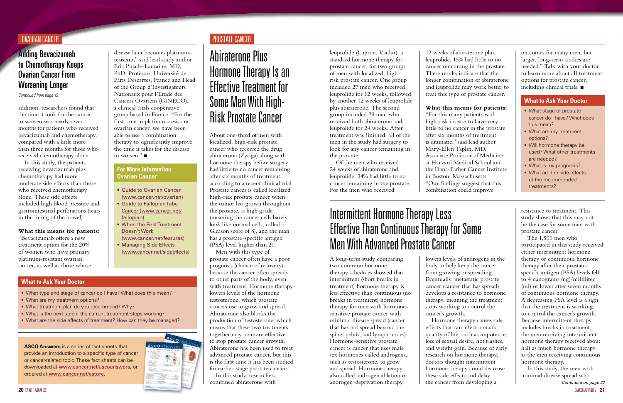## Adding Bevacizumab to Chemotherapy Keeps Ovarian Cancer From Worsening Longer

*Continued from page 19*

#### OVARIAN CANCER PROSTATE CANCER

addition, researchers found that the time it took for the cancer to worsen was nearly seven months for patients who received bevacizumab and chemotherapy, compared with a little more than three months for those who received chemotherapy alone.

In this study, the patients receiving bevacizumab plus chemotherapy had more moderate side effects than those who received chemotherapy alone. These side effects included high blood pressure and gastrointestinal perforations (tears in the lining of the bowel).

- What stage of prostate cancer do I have? What does this mean?
- **What are my treatment** options?
- **Will hormone therapy be** used? What other treatments are needed?
- What is my prognosis?
- What are the side effects of the recommended treatments?

#### **What this means for patients:**

"Bevacizumab offers a new treatment option for the 20% of women who have primary platinum-resistant ovarian cancer, as well as those whose

- What type and stage of cancer do I have? What does this mean?
- What are my treatment options?
- What treatment plan do you recommend? Why?
- What is the next step if the current treatment stops working?
- What are the side effects of treatment? How can they be managed?

**[Guide to Ovarian Cancer](http://www.cancer.net/ovarian)** (www.cancer.net/ovarian) **[Guide to Fallopian Tube](http://www.cancer.net/fallopian)** [Cancer](http://www.cancer.net/fallopian) (www.cancer.net/

(www.cancer.net/features) **[Managing Side Effects](http://www.cancer.net/sideeffects)** 

#### **What to Ask Your Doctor**

#### **What to Ask Your Doctor**

disease later becomes platinumresistant," said lead study author Eric Pujade-Lauraine, MD, PhD, Professor, Université de Paris Descartes, France and Head of the Group d'Investigateurs Nationaux pour l'Etude des Cancers Ovariens (GINECO), a clinical trials cooperative group based in France. "For the first time in platinum-resistant ovarian cancer, we have been able to use a combination

therapy to significantly improve the time it takes for the disease

fallopian)

[Doesn't Work](http://www.cancer.net/patient/All+About+Cancer/Cancer.Net+Feature+Articles/Treatments,+Tests,+and+Procedures/When+the+First+Treatment+Doesn%27t+Work)

(www.cancer.net/sideeffects)

to worsen." $\blacksquare$ 

**For More Information: Ovarian Cancer**

**[When the First Treatment](http://www.cancer.net/patient/All+About+Cancer/Cancer.Net+Feature+Articles/Treatments,+Tests,+and+Procedures/When+the+First+Treatment+Doesn%27t+Work)** 

## Intermittent Hormone Therapy Less Effective Than Continuous Therapy for Some Men With Advanced Prostate Cancer

## <span id="page-10-0"></span>Abiraterone Plus Hormone Therapy Is an Effective Treatment for Some Men With High-Risk Prostate Cancer

A long-term study comparing two common hormone therapy schedules showed that intermittent (short breaks in treatment) hormone therapy is less effective than continuous (no breaks in treatment) hormone therapy for men with hormonesensitive prostate cancer with minimal disease spread (cancer that has not spread beyond the spine, pelvis, and lymph nodes). Hormone-sensitive prostate cancer is cancer that uses male sex hormones called androgens, such as testosterone, to grow and spread. Hormone therapy, also called androgen ablation or androgen-deprivation therapy,

About one-third of men with localized, high-risk prostate cancer who received the drug abiraterone (Zytiga) along with hormone therapy before surgery had little to no cancer remaining after six months of treatment, according to a recent clinical trial. Prostate cancer is called localized high-risk prostate cancer when the tumor has grown throughout the prostate, is high grade (meaning the cancer cells barely look like normal cells, called a Gleason score of 8), and the man has a prostate-specific antigen (PSA) level higher than 20.

outcomes for many men, but larger, long-term studies are needed." Talk with your doctor to learn more about all treatment options for prostate cancer, including clinical trials.  $\blacksquare$ 

Men with this type of prostate cancer often have a poor prognosis (chance of recovery) because the cancer often spreads to other parts of the body, even with treatment. Hormone therapy lowers levels of the hormone testosterone, which prostate cancers use to grow and spread. Abiraterone also blocks the production of testosterone, which means that these two treatments together may be more effective to stop prostate cancer growth. Abiraterone has been used to treat advanced prostate cancer, but this is the first time it has been studied for earlier-stage prostate cancers. In this study, researchers combined abiraterone with

lowers levels of androgens in the body to help keep the cancer from growing or spreading. Eventually, metastatic prostate cancer (cancer that has spread) develops a resistance to hormone therapy, meaning the treatment stops working to control the cancer's growth.

Hormone therapy causes side effects that can affect a man's quality of life, such as impotence, loss of sexual desire, hot flashes, and weight gain. Because of early research on hormone therapy, doctors thought intermittent hormone therapy could decrease these side effects and delay the cancer from developing a

resistance to treatment. This study shows that this may not be the case for some men with prostate cancer.

The 1,500 men who participated in this study received either intermittent hormone therapy or continuous hormone therapy after their prostatespecific antigen (PSA) levels fell to 4 nanograms (ng)/milliliter (ml) or lower after seven months of continuous hormone therapy. A decreasing PSA level is a sign that the treatment is working to control the cancer's growth. Because intermittent therapy includes breaks in treatment, the men receiving intermittent hormone therapy received about half as much hormone therapy as the men receiving continuous hormone therapy.

leuprolide (Lupron, Viadur), a standard hormone therapy for prostate cancer, for two groups of men with localized, highrisk prostate cancer. One group included 27 men who received leuprolide for 12 weeks, followed by another 12 weeks of leuprolide plus abiraterone. The second group included 29 men who received both abiraterone and leuprolide for 24 weeks. After treatment was finished, all of the men in the study had surgery to look for any cancer remaining in the prostate.

Of the men who received 24 weeks of abiraterone and leuprolide, 34% had little to no cancer remaining in the prostate. For the men who received

> In this study, the men with minimal disease spread who *Continued on page 22*

12 weeks of abiraterone plus leuprolide, 15% had little to no cancer remaining in the prostate. These results indicate that the longer combination of abiraterone and leuprolide may work better to treat this type of prostate cancer.

#### **What this means for patients:**

"For this many patients with high-risk disease to have very little to no cancer in the prostate after six months of treatment is dramatic," said lead author Mary-Ellen Taplin, MD, Associate Professor of Medicine at Harvard Medical School and the Dana-Farber Cancer Institute in Boston, Massachusetts. "Our findings suggest that this combination could improve



**ASCO Answers** is a series of fact sheets that provide an introduction to a specific type of cancer or cancer-related topic. These fact sheets can be downloaded at [www.cancer.net/ascoanswers](http://www.cancer.net/ascoanswers), or ordered at [www.cancer.net/estore](http://www.cancer.net/estore).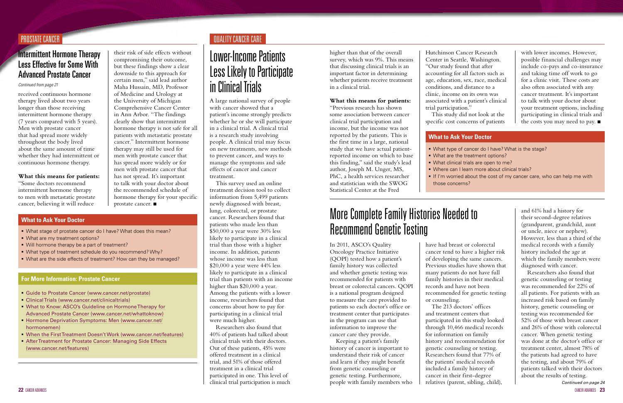received continuous hormone therapy lived about two years longer than those receiving intermittent hormone therapy (7 years compared with 5 years). Men with prostate cancer that had spread more widely throughout the body lived about the same amount of time whether they had intermittent or continuous hormone therapy.

#### **What this means for patients:** "Some doctors recommend

intermittent hormone therapy to men with metastatic prostate cancer, believing it will reduce

## Intermittent Hormone Therapy Less Effective for Some With Advanced Prostate Cancer

their risk of side effects without compromising their outcome, but these findings show a clear downside to this approach for certain men," said lead author Maha Hussain, MD, Professor of Medicine and Urology at the University of Michigan Comprehensive Cancer Center in Ann Arbor. "The findings clearly show that intermittent hormone therapy is not safe for all patients with metastatic prostate cancer." Intermittent hormone therapy may still be used for men with prostate cancer that has spread more widely or for men with prostate cancer that has not spread. It's important to talk with your doctor about the recommended schedule of hormone therapy for your specific prostate cancer.  $\blacksquare$ 

#### *Continued from page 21*

- [Guide to Prostate Cancer](http://www.cancer.net/prostate) (www.cancer.net/prostate)
- [Clinical Trials](http://www.cancer.net/clinicaltrials) (www.cancer.net/clinicaltrials)
- [What to Know: ASCO's Guideline on Hormone Therapy for](http://www.cancer.net/patient/Publications+and+Resources/What+to+Know%3A+ASCO%27s+Guidelines/What+to+Know%3A+ASCO%27s+Guideline+on+Hormone+Therapy+for+Advanced+Prostate+Cancer) [Advanced Prostate Cancer](http://www.cancer.net/patient/Publications+and+Resources/What+to+Know%3A+ASCO%27s+Guidelines/What+to+Know%3A+ASCO%27s+Guideline+on+Hormone+Therapy+for+Advanced+Prostate+Cancer) (www.cancer.net/whattoknow)
- **[Hormone Deprivation Symptoms: Men](http://www.cancer.net/hormonemen) (www.cancer.net/** hormonemen)
- [When the First Treatment Doesn't Work](http://www.cancer.net/patient/All+About+Cancer/Cancer.Net+Feature+Articles/Treatments,+Tests,+and+Procedures/When+the+First+Treatment+Doesn%27t+Work) (www.cancer.net/features)
- [After Treatment for Prostate Cancer: Managing Side Effects](http://www.cancer.net/patient/All+About+Cancer/Cancer.Net+Feature+Articles/After+Treatment+and+Survivorship/After+Treatment+for+Prostate+Cancer%3A+Managing+Side+Effects) (www.cancer.net/features)

## **PROSTATE CANCER CANCER CARE**

#### **For More Information: Prostate Cancer**

- What stage of prostate cancer do I have? What does this mean?
- What are my treatment options?
- Will hormone therapy be a part of treatment?
- What type of treatment schedule do you recommend? Why?
- What are the side effects of treatment? How can they be managed?
- What type of cancer do I have? What is the stage?
- 
- Where can I learn more about clinical trials?
- those concerns?

#### **What to Ask Your Doctor**

#### **What to Ask Your Doctor**

## <span id="page-11-0"></span>Lower-Income Patients Less Likely to Participate in Clinical Trials

# More Complete Family Histories Needed to Recommend Genetic Testing

A large national survey of people with cancer showed that a patient's income strongly predicts whether he or she will participate in a clinical trial. A clinical trial is a research study involving people. A clinical trial may focus on new treatments, new methods to prevent cancer, and ways to manage the symptoms and side effects of cancer and cancer treatment.

with lower incomes. However, possible financial challenges may include co-pays and co-insurance and taking time off work to go for a clinic visit. These costs are also often associated with any cancer treatment. It's important to talk with your doctor about your treatment options, including participating in clinical trials and the costs you may need to pay.  $\blacksquare$ 

- What are the treatment options?
- What clinical trials are open to me?
- If I'm worried about the cost of my cancer care, who can help me with

This survey used an online treatment decision tool to collect information from 5,499 patients newly diagnosed with breast, lung, colorectal, or prostate cancer. Researchers found that patients who made less than \$50,000 a year were 30% less likely to participate in a clinical trial than those with a higher income. In addition, patients whose income was less than \$20,000 a year were 44% less likely to participate in a clinical trial than patients with an income higher than \$20,000 a year. Among the patients with a lower income, researchers found that concerns about how to pay for participating in a clinical trial were much higher.

Researchers also found that 40% of patients had talked about clinical trials with their doctors. Out of these patients, 45% were offered treatment in a clinical trial, and 51% of those offered treatment in a clinical trial participated in one. This level of clinical trial participation is much In 2011, ASCO's Quality Oncology Practice Initiative (QOPI) tested how a patient's family history was collected and whether genetic testing was recommended for patients with breast or colorectal cancers. QOPI is a national program designed to measure the care provided to patients so each doctor's office or treatment center that participates in the program can use that information to improve the cancer care they provide.

Keeping a patient's family history of cancer is important to understand their risk of cancer and learn if they might benefit from genetic counseling or genetic testing. Furthermore, people with family members who

higher than that of the overall survey, which was 9%. This means that discussing clinical trials is an important factor in determining whether patients receive treatment in a clinical trial.

#### **What this means for patients:**

"Previous research has shown some association between cancer clinical trial participation and income, but the income was not reported by the patients. This is the first time in a large, national study that we have actual patientreported income on which to base this finding," said the study's lead author, Joseph M. Unger, MS, PhC, a health services researcher and statistician with the SWOG Statistical Center at the Fred

> have had breast or colorectal cancer tend to have a higher risk of developing the same cancers. Previous studies have shown that many patients do not have full family histories in their medical records and have not been recommended for genetic testing or counseling. The 213 doctors' offices and treatment centers that participated in this study looked through 10,466 medical records for information on family history and recommendation for genetic counseling or testing. Researchers found that 77% of the patients' medical records included a family history of cancer in their first-degree relatives (parent, sibling, child), *Continued on page 24*

Hutchinson Cancer Research Center in Seattle, Washington. "Our study found that after accounting for all factors such as age, education, sex, race, medical conditions, and distance to a clinic, income on its own was associated with a patient's clinical trial participation."

This study did not look at the specific cost concerns of patients

> and 61% had a history for their second-degree relatives (grandparent, grandchild, aunt or uncle, niece or nephew). However, less than a third of the medical records with a family history included the age at which the family members were diagnosed with cancer.

Researchers also found that genetic counseling or testing was recommended for 22% of all patients. For patients with an increased risk based on family history, genetic counseling or testing was recommended for 52% of those with breast cancer and 26% of those with colorectal cancer. When genetic testing was done at the doctor's office or treatment center, almost 78% of the patients had agreed to have the testing, and about 79% of patients talked with their doctors about the results of testing.